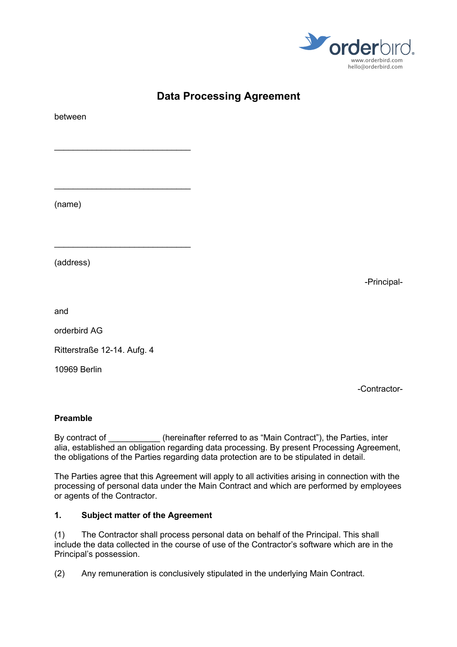

# **Data Processing Agreement**

between

(name)

(address)

-Principal-

and

orderbird AG

Ritterstraße 12-14. Aufg. 4

 $\mathcal{L}=\{1,2,3,4,5\}$ 

 $\mathcal{L}=\{1,2,3,4,5\}$ 

10969 Berlin

-Contractor-

#### **Preamble**

By contract of \_\_\_\_\_\_\_\_\_\_\_\_ (hereinafter referred to as "Main Contract"), the Parties, inter alia, established an obligation regarding data processing. By present Processing Agreement, the obligations of the Parties regarding data protection are to be stipulated in detail.

The Parties agree that this Agreement will apply to all activities arising in connection with the processing of personal data under the Main Contract and which are performed by employees or agents of the Contractor.

#### **1. Subject matter of the Agreement**

(1) The Contractor shall process personal data on behalf of the Principal. This shall include the data collected in the course of use of the Contractor's software which are in the Principal's possession.

(2) Any remuneration is conclusively stipulated in the underlying Main Contract.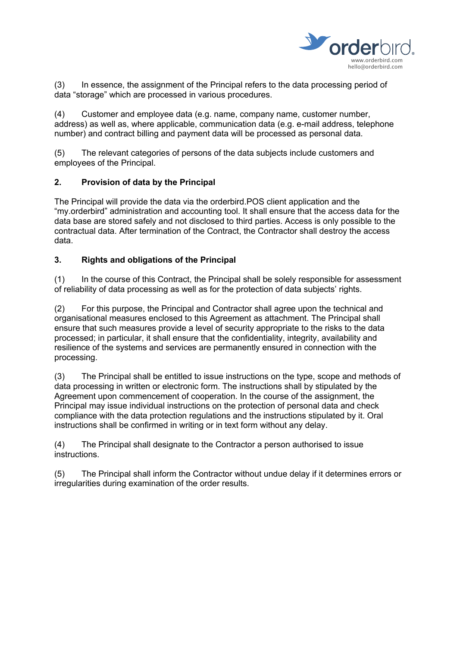

(3) In essence, the assignment of the Principal refers to the data processing period of data "storage" which are processed in various procedures.

(4) Customer and employee data (e.g. name, company name, customer number, address) as well as, where applicable, communication data (e.g. e-mail address, telephone number) and contract billing and payment data will be processed as personal data.

(5) The relevant categories of persons of the data subjects include customers and employees of the Principal.

## **2. Provision of data by the Principal**

The Principal will provide the data via the orderbird.POS client application and the "my.orderbird" administration and accounting tool. It shall ensure that the access data for the data base are stored safely and not disclosed to third parties. Access is only possible to the contractual data. After termination of the Contract, the Contractor shall destroy the access data.

## **3. Rights and obligations of the Principal**

(1) In the course of this Contract, the Principal shall be solely responsible for assessment of reliability of data processing as well as for the protection of data subjects' rights.

(2) For this purpose, the Principal and Contractor shall agree upon the technical and organisational measures enclosed to this Agreement as attachment. The Principal shall ensure that such measures provide a level of security appropriate to the risks to the data processed; in particular, it shall ensure that the confidentiality, integrity, availability and resilience of the systems and services are permanently ensured in connection with the processing.

(3) The Principal shall be entitled to issue instructions on the type, scope and methods of data processing in written or electronic form. The instructions shall by stipulated by the Agreement upon commencement of cooperation. In the course of the assignment, the Principal may issue individual instructions on the protection of personal data and check compliance with the data protection regulations and the instructions stipulated by it. Oral instructions shall be confirmed in writing or in text form without any delay.

(4) The Principal shall designate to the Contractor a person authorised to issue instructions.

(5) The Principal shall inform the Contractor without undue delay if it determines errors or irregularities during examination of the order results.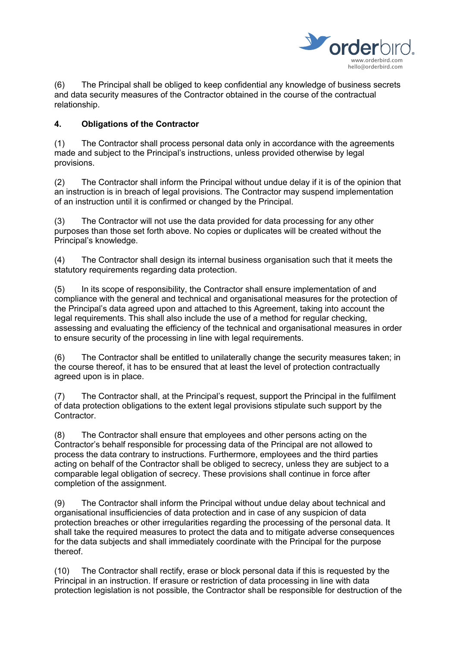

(6) The Principal shall be obliged to keep confidential any knowledge of business secrets and data security measures of the Contractor obtained in the course of the contractual relationship.

## **4. Obligations of the Contractor**

(1) The Contractor shall process personal data only in accordance with the agreements made and subject to the Principal's instructions, unless provided otherwise by legal provisions.

(2) The Contractor shall inform the Principal without undue delay if it is of the opinion that an instruction is in breach of legal provisions. The Contractor may suspend implementation of an instruction until it is confirmed or changed by the Principal.

(3) The Contractor will not use the data provided for data processing for any other purposes than those set forth above. No copies or duplicates will be created without the Principal's knowledge.

(4) The Contractor shall design its internal business organisation such that it meets the statutory requirements regarding data protection.

(5) In its scope of responsibility, the Contractor shall ensure implementation of and compliance with the general and technical and organisational measures for the protection of the Principal's data agreed upon and attached to this Agreement, taking into account the legal requirements. This shall also include the use of a method for regular checking, assessing and evaluating the efficiency of the technical and organisational measures in order to ensure security of the processing in line with legal requirements.

(6) The Contractor shall be entitled to unilaterally change the security measures taken; in the course thereof, it has to be ensured that at least the level of protection contractually agreed upon is in place.

(7) The Contractor shall, at the Principal's request, support the Principal in the fulfilment of data protection obligations to the extent legal provisions stipulate such support by the Contractor.

(8) The Contractor shall ensure that employees and other persons acting on the Contractor's behalf responsible for processing data of the Principal are not allowed to process the data contrary to instructions. Furthermore, employees and the third parties acting on behalf of the Contractor shall be obliged to secrecy, unless they are subject to a comparable legal obligation of secrecy. These provisions shall continue in force after completion of the assignment.

(9) The Contractor shall inform the Principal without undue delay about technical and organisational insufficiencies of data protection and in case of any suspicion of data protection breaches or other irregularities regarding the processing of the personal data. It shall take the required measures to protect the data and to mitigate adverse consequences for the data subjects and shall immediately coordinate with the Principal for the purpose thereof.

(10) The Contractor shall rectify, erase or block personal data if this is requested by the Principal in an instruction. If erasure or restriction of data processing in line with data protection legislation is not possible, the Contractor shall be responsible for destruction of the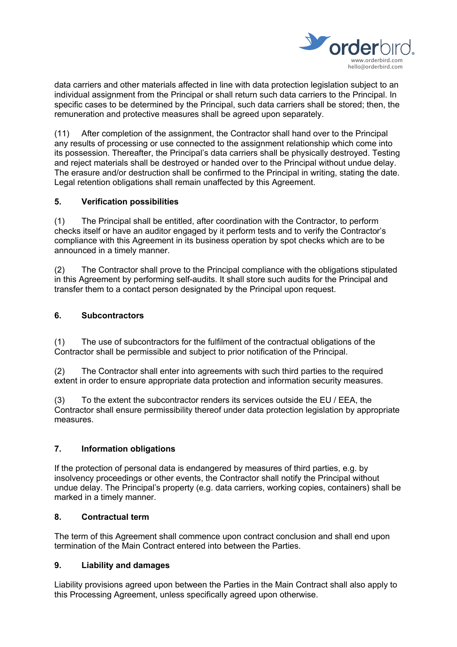

data carriers and other materials affected in line with data protection legislation subject to an individual assignment from the Principal or shall return such data carriers to the Principal. In specific cases to be determined by the Principal, such data carriers shall be stored; then, the remuneration and protective measures shall be agreed upon separately.

(11) After completion of the assignment, the Contractor shall hand over to the Principal any results of processing or use connected to the assignment relationship which come into its possession. Thereafter, the Principal's data carriers shall be physically destroyed. Testing and reject materials shall be destroyed or handed over to the Principal without undue delay. The erasure and/or destruction shall be confirmed to the Principal in writing, stating the date. Legal retention obligations shall remain unaffected by this Agreement.

## **5. Verification possibilities**

(1) The Principal shall be entitled, after coordination with the Contractor, to perform checks itself or have an auditor engaged by it perform tests and to verify the Contractor's compliance with this Agreement in its business operation by spot checks which are to be announced in a timely manner.

(2) The Contractor shall prove to the Principal compliance with the obligations stipulated in this Agreement by performing self-audits. It shall store such audits for the Principal and transfer them to a contact person designated by the Principal upon request.

## **6. Subcontractors**

(1) The use of subcontractors for the fulfilment of the contractual obligations of the Contractor shall be permissible and subject to prior notification of the Principal.

(2) The Contractor shall enter into agreements with such third parties to the required extent in order to ensure appropriate data protection and information security measures.

(3) To the extent the subcontractor renders its services outside the EU / EEA, the Contractor shall ensure permissibility thereof under data protection legislation by appropriate measures.

#### **7. Information obligations**

If the protection of personal data is endangered by measures of third parties, e.g. by insolvency proceedings or other events, the Contractor shall notify the Principal without undue delay. The Principal's property (e.g. data carriers, working copies, containers) shall be marked in a timely manner.

### **8. Contractual term**

The term of this Agreement shall commence upon contract conclusion and shall end upon termination of the Main Contract entered into between the Parties.

#### **9. Liability and damages**

Liability provisions agreed upon between the Parties in the Main Contract shall also apply to this Processing Agreement, unless specifically agreed upon otherwise.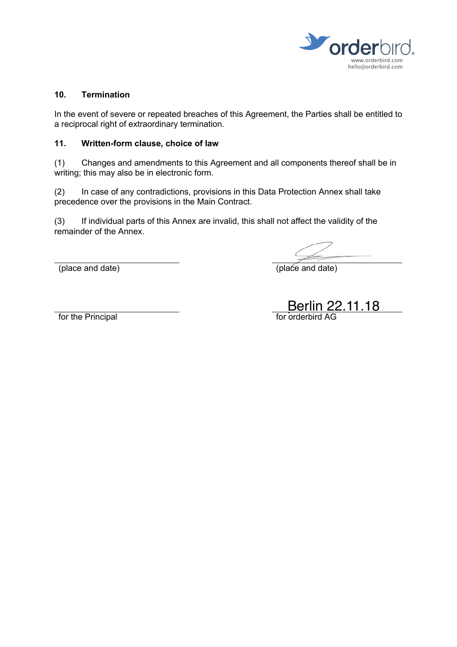

#### **10. Termination**

In the event of severe or repeated breaches of this Agreement, the Parties shall be entitled to a reciprocal right of extraordinary termination.

#### **11. Written-form clause, choice of law**

(1) Changes and amendments to this Agreement and all components thereof shall be in writing; this may also be in electronic form.

(2) In case of any contradictions, provisions in this Data Protection Annex shall take precedence over the provisions in the Main Contract.

(3) If individual parts of this Annex are invalid, this shall not affect the validity of the remainder of the Annex.

(place and date) (place and date)

for the Principal and the Principal for orderbird AG

<u>Berlin 22.11.18</u>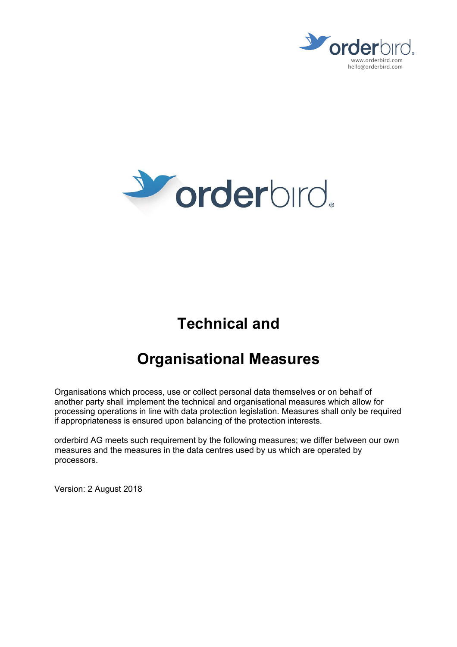



# **Technical and**

# **Organisational Measures**

Organisations which process, use or collect personal data themselves or on behalf of another party shall implement the technical and organisational measures which allow for processing operations in line with data protection legislation. Measures shall only be required if appropriateness is ensured upon balancing of the protection interests.

orderbird AG meets such requirement by the following measures; we differ between our own measures and the measures in the data centres used by us which are operated by processors.

Version: 2 August 2018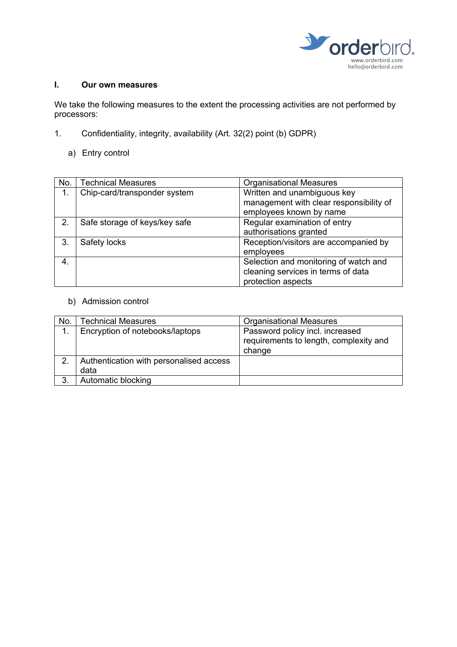

#### **I. Our own measures**

We take the following measures to the extent the processing activities are not performed by processors:

- 1. Confidentiality, integrity, availability (Art. 32(2) point (b) GDPR)
	- a) Entry control

| No. | <b>Technical Measures</b>     | <b>Organisational Measures</b>          |
|-----|-------------------------------|-----------------------------------------|
| 1.  | Chip-card/transponder system  | Written and unambiguous key             |
|     |                               | management with clear responsibility of |
|     |                               | employees known by name                 |
| 2.  | Safe storage of keys/key safe | Regular examination of entry            |
|     |                               | authorisations granted                  |
| 3.  | Safety locks                  | Reception/visitors are accompanied by   |
|     |                               | employees                               |
| 4.  |                               | Selection and monitoring of watch and   |
|     |                               | cleaning services in terms of data      |
|     |                               | protection aspects                      |

b) Admission control

| No. | <b>Technical Measures</b>               | <b>Organisational Measures</b>                                                      |
|-----|-----------------------------------------|-------------------------------------------------------------------------------------|
|     | Encryption of notebooks/laptops         | Password policy incl. increased<br>requirements to length, complexity and<br>change |
| 2.  | Authentication with personalised access |                                                                                     |
|     | data                                    |                                                                                     |
| З.  | Automatic blocking                      |                                                                                     |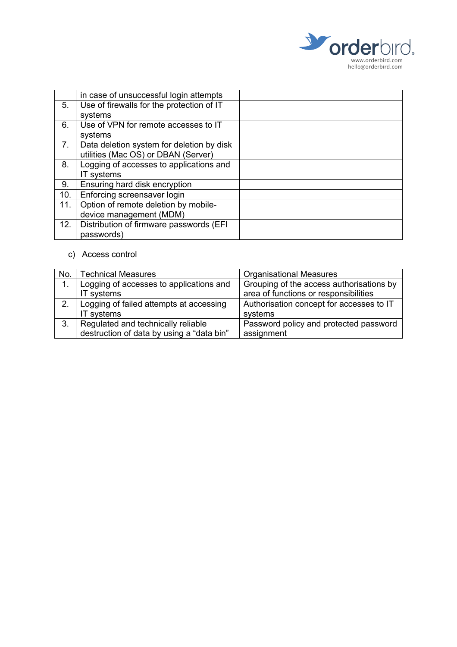

|     | in case of unsuccessful login attempts    |  |
|-----|-------------------------------------------|--|
| 5.  | Use of firewalls for the protection of IT |  |
|     | systems                                   |  |
| 6.  | Use of VPN for remote accesses to IT      |  |
|     | systems                                   |  |
| 7.  | Data deletion system for deletion by disk |  |
|     | utilities (Mac OS) or DBAN (Server)       |  |
| 8.  | Logging of accesses to applications and   |  |
|     | IT systems                                |  |
| 9.  | Ensuring hard disk encryption             |  |
| 10. | Enforcing screensaver login               |  |
| 11. | Option of remote deletion by mobile-      |  |
|     | device management (MDM)                   |  |
| 12. | Distribution of firmware passwords (EFI   |  |
|     | passwords)                                |  |

#### c) Access control

| No. | <b>Technical Measures</b>                 | <b>Organisational Measures</b>           |
|-----|-------------------------------------------|------------------------------------------|
|     | Logging of accesses to applications and   | Grouping of the access authorisations by |
|     | IT systems                                | area of functions or responsibilities    |
| 2.  | Logging of failed attempts at accessing   | Authorisation concept for accesses to IT |
|     | IT systems                                | systems                                  |
| 3.  | Regulated and technically reliable        | Password policy and protected password   |
|     | destruction of data by using a "data bin" | assignment                               |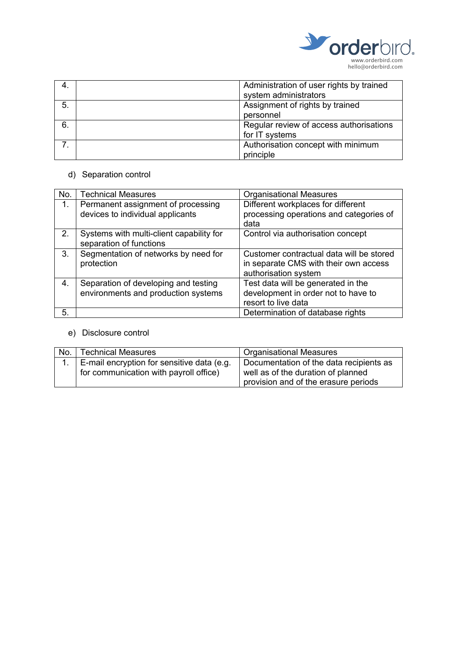

| 4. | Administration of user rights by trained<br>system administrators |
|----|-------------------------------------------------------------------|
| 5. | Assignment of rights by trained<br>personnel                      |
| 6. | Regular review of access authorisations<br>for IT systems         |
|    | Authorisation concept with minimum<br>principle                   |

## d) Separation control

| No. | <b>Technical Measures</b>                                                   | <b>Organisational Measures</b>                                                                            |
|-----|-----------------------------------------------------------------------------|-----------------------------------------------------------------------------------------------------------|
| 1.  | Permanent assignment of processing<br>devices to individual applicants      | Different workplaces for different<br>processing operations and categories of<br>data                     |
| 2.  | Systems with multi-client capability for<br>separation of functions         | Control via authorisation concept                                                                         |
| 3.  | Segmentation of networks by need for<br>protection                          | Customer contractual data will be stored<br>in separate CMS with their own access<br>authorisation system |
| 4.  | Separation of developing and testing<br>environments and production systems | Test data will be generated in the<br>development in order not to have to<br>resort to live data          |
| 5.  |                                                                             | Determination of database rights                                                                          |

## e) Disclosure control

| No. I | <b>Technical Measures</b>                  | Organisational Measures                 |
|-------|--------------------------------------------|-----------------------------------------|
|       | E-mail encryption for sensitive data (e.g. | Documentation of the data recipients as |
|       | for communication with payroll office)     | well as of the duration of planned      |
|       |                                            | provision and of the erasure periods    |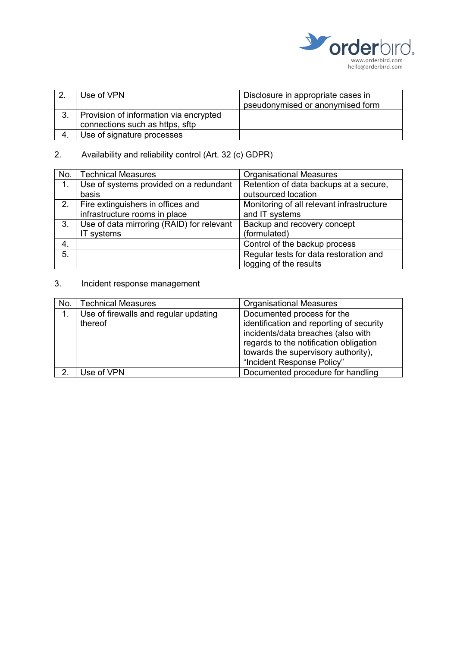

| Use of VPN                                                                | Disclosure in appropriate cases in<br>pseudonymised or anonymised form |
|---------------------------------------------------------------------------|------------------------------------------------------------------------|
| Provision of information via encrypted<br>connections such as https, sftp |                                                                        |
| Use of signature processes                                                |                                                                        |

## 2. Availability and reliability control (Art. 32 (c) GDPR)

| No. | <b>Technical Measures</b>                 | <b>Organisational Measures</b>            |
|-----|-------------------------------------------|-------------------------------------------|
| 1.  | Use of systems provided on a redundant    | Retention of data backups at a secure,    |
|     | basis                                     | outsourced location                       |
| 2.  | Fire extinguishers in offices and         | Monitoring of all relevant infrastructure |
|     | infrastructure rooms in place             | and IT systems                            |
| 3.  | Use of data mirroring (RAID) for relevant | Backup and recovery concept               |
|     | IT systems                                | (formulated)                              |
| 4.  |                                           | Control of the backup process             |
| 5.  |                                           | Regular tests for data restoration and    |
|     |                                           | logging of the results                    |

## 3. Incident response management

| No. | <b>Technical Measures</b>                        | <b>Organisational Measures</b>                                                                                                                                                                                              |
|-----|--------------------------------------------------|-----------------------------------------------------------------------------------------------------------------------------------------------------------------------------------------------------------------------------|
| 1.  | Use of firewalls and regular updating<br>thereof | Documented process for the<br>identification and reporting of security<br>incidents/data breaches (also with<br>regards to the notification obligation<br>towards the supervisory authority),<br>"Incident Response Policy" |
| 2   | Use of VPN                                       | Documented procedure for handling                                                                                                                                                                                           |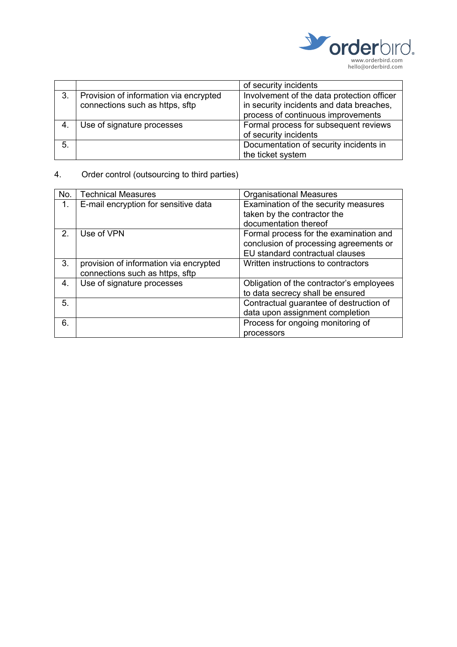

|    |                                                                           | of security incidents                                                                                                        |
|----|---------------------------------------------------------------------------|------------------------------------------------------------------------------------------------------------------------------|
| 3. | Provision of information via encrypted<br>connections such as https, sftp | Involvement of the data protection officer<br>in security incidents and data breaches,<br>process of continuous improvements |
|    | Use of signature processes                                                | Formal process for subsequent reviews                                                                                        |
|    |                                                                           | of security incidents                                                                                                        |
| 5. |                                                                           | Documentation of security incidents in                                                                                       |
|    |                                                                           | the ticket system                                                                                                            |

# 4. Order control (outsourcing to third parties)

| No. | <b>Technical Measures</b>              | <b>Organisational Measures</b>           |
|-----|----------------------------------------|------------------------------------------|
| 1.  | E-mail encryption for sensitive data   | Examination of the security measures     |
|     |                                        | taken by the contractor the              |
|     |                                        | documentation thereof                    |
| 2.  | Use of VPN                             | Formal process for the examination and   |
|     |                                        | conclusion of processing agreements or   |
|     |                                        | EU standard contractual clauses          |
| 3.  | provision of information via encrypted | Written instructions to contractors      |
|     | connections such as https, sftp        |                                          |
| 4.  | Use of signature processes             | Obligation of the contractor's employees |
|     |                                        | to data secrecy shall be ensured         |
| 5.  |                                        | Contractual guarantee of destruction of  |
|     |                                        | data upon assignment completion          |
| 6.  |                                        | Process for ongoing monitoring of        |
|     |                                        | processors                               |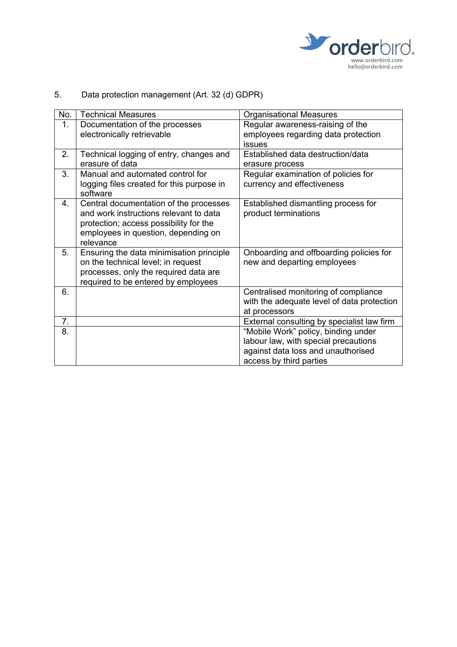

|  | 5. | Data protection management (Art. 32 (d) GDPR) |  |
|--|----|-----------------------------------------------|--|
|--|----|-----------------------------------------------|--|

| No. | <b>Technical Measures</b>                                                                                                                                                      | <b>Organisational Measures</b>                                                                                                               |
|-----|--------------------------------------------------------------------------------------------------------------------------------------------------------------------------------|----------------------------------------------------------------------------------------------------------------------------------------------|
| 1.  | Documentation of the processes<br>electronically retrievable                                                                                                                   | Regular awareness-raising of the<br>employees regarding data protection<br>issues                                                            |
| 2.  | Technical logging of entry, changes and<br>erasure of data                                                                                                                     | Established data destruction/data<br>erasure process                                                                                         |
| 3.  | Manual and automated control for<br>logging files created for this purpose in<br>software                                                                                      | Regular examination of policies for<br>currency and effectiveness                                                                            |
| 4.  | Central documentation of the processes<br>and work instructions relevant to data<br>protection; access possibility for the<br>employees in question, depending on<br>relevance | Established dismantling process for<br>product terminations                                                                                  |
| 5.  | Ensuring the data minimisation principle<br>on the technical level; in request<br>processes, only the required data are<br>required to be entered by employees                 | Onboarding and offboarding policies for<br>new and departing employees                                                                       |
| 6.  |                                                                                                                                                                                | Centralised monitoring of compliance<br>with the adequate level of data protection<br>at processors                                          |
| 7.  |                                                                                                                                                                                | External consulting by specialist law firm                                                                                                   |
| 8.  |                                                                                                                                                                                | "Mobile Work" policy, binding under<br>labour law, with special precautions<br>against data loss and unauthorised<br>access by third parties |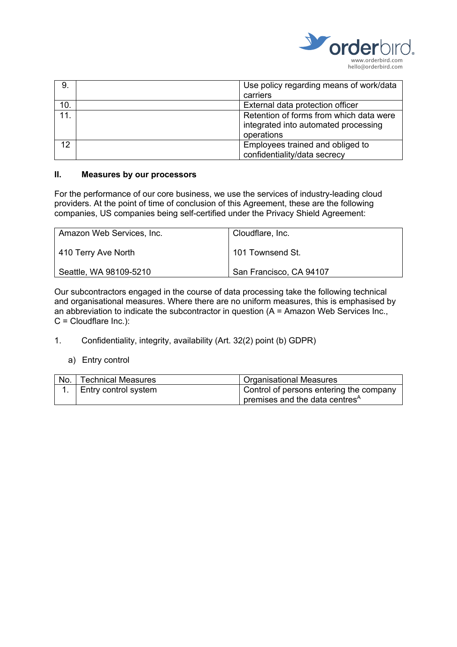

| 9.  | Use policy regarding means of work/data                                                       |
|-----|-----------------------------------------------------------------------------------------------|
|     | carriers                                                                                      |
| 10. | External data protection officer                                                              |
| 11. | Retention of forms from which data were<br>integrated into automated processing<br>operations |
| 12  | Employees trained and obliged to<br>confidentiality/data secrecy                              |

### **II. Measures by our processors**

For the performance of our core business, we use the services of industry-leading cloud providers. At the point of time of conclusion of this Agreement, these are the following companies, US companies being self-certified under the Privacy Shield Agreement:

| Amazon Web Services, Inc. | Cloudflare, Inc.        |
|---------------------------|-------------------------|
| 410 Terry Ave North       | 101 Townsend St.        |
| Seattle, WA 98109-5210    | San Francisco, CA 94107 |

Our subcontractors engaged in the course of data processing take the following technical and organisational measures. Where there are no uniform measures, this is emphasised by an abbreviation to indicate the subcontractor in question  $(A = \text{Amaxon Web Services Inc.},$ C = Cloudflare Inc.):

- 1. Confidentiality, integrity, availability (Art. 32(2) point (b) GDPR)
	- a) Entry control

| No.   Technical Measures | <b>Organisational Measures</b>                     |
|--------------------------|----------------------------------------------------|
| 1. Entry control system  | Control of persons entering the company            |
|                          | $\vert$ premises and the data centres <sup>A</sup> |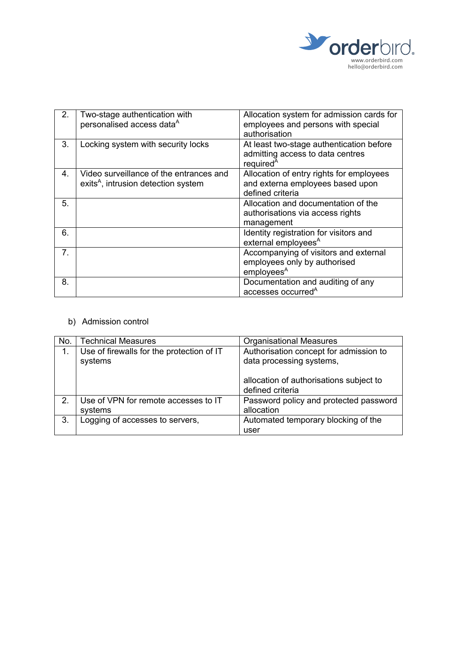

| 2. | Two-stage authentication with<br>personalised access data <sup>A</sup>                     | Allocation system for admission cards for<br>employees and persons with special<br>authorisation      |
|----|--------------------------------------------------------------------------------------------|-------------------------------------------------------------------------------------------------------|
| 3. | Locking system with security locks                                                         | At least two-stage authentication before<br>admitting access to data centres<br>required <sup>A</sup> |
| 4. | Video surveillance of the entrances and<br>exits <sup>A</sup> , intrusion detection system | Allocation of entry rights for employees<br>and externa employees based upon<br>defined criteria      |
| 5. |                                                                                            | Allocation and documentation of the<br>authorisations via access rights<br>management                 |
| 6. |                                                                                            | Identity registration for visitors and<br>external employees <sup>A</sup>                             |
| 7. |                                                                                            | Accompanying of visitors and external<br>employees only by authorised<br>employees <sup>A</sup>       |
| 8. |                                                                                            | Documentation and auditing of any<br>accesses occurred <sup>A</sup>                                   |

## b) Admission control

| No. | <b>Technical Measures</b>                            | <b>Organisational Measures</b>                                     |
|-----|------------------------------------------------------|--------------------------------------------------------------------|
| 1.  | Use of firewalls for the protection of IT<br>systems | Authorisation concept for admission to<br>data processing systems, |
|     |                                                      | allocation of authorisations subject to<br>defined criteria        |
| 2.  | Use of VPN for remote accesses to IT<br>systems      | Password policy and protected password<br>allocation               |
| 3.  | Logging of accesses to servers,                      | Automated temporary blocking of the<br>user                        |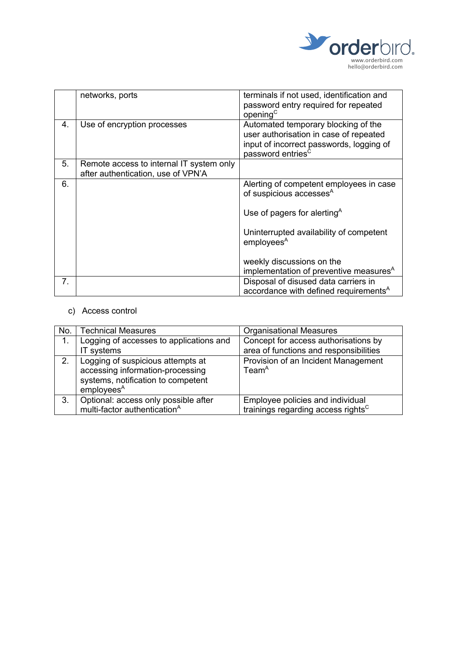

|    | networks, ports                                                                | terminals if not used, identification and<br>password entry required for repeated<br>opening <sup>C</sup>                                                  |
|----|--------------------------------------------------------------------------------|------------------------------------------------------------------------------------------------------------------------------------------------------------|
| 4. | Use of encryption processes                                                    | Automated temporary blocking of the<br>user authorisation in case of repeated<br>input of incorrect passwords, logging of<br>password entries <sup>c</sup> |
| 5. | Remote access to internal IT system only<br>after authentication, use of VPN'A |                                                                                                                                                            |
| 6. |                                                                                | Alerting of competent employees in case<br>of suspicious accesses <sup>A</sup>                                                                             |
|    |                                                                                | Use of pagers for alerting $^{\mathsf{A}}$                                                                                                                 |
|    |                                                                                | Uninterrupted availability of competent<br>employees <sup>A</sup>                                                                                          |
|    |                                                                                | weekly discussions on the<br>implementation of preventive measures <sup>A</sup>                                                                            |
| 7. |                                                                                | Disposal of disused data carriers in<br>accordance with defined requirements <sup>A</sup>                                                                  |

### c) Access control

| No. | <b>Technical Measures</b>                                                                                                             | <b>Organisational Measures</b>                                                     |
|-----|---------------------------------------------------------------------------------------------------------------------------------------|------------------------------------------------------------------------------------|
| 1.  | Logging of accesses to applications and                                                                                               | Concept for access authorisations by                                               |
|     | IT systems                                                                                                                            | area of functions and responsibilities                                             |
| 2.  | Logging of suspicious attempts at<br>accessing information-processing<br>systems, notification to competent<br>employees <sup>A</sup> | Provision of an Incident Management<br>Team <sup>A</sup>                           |
| 3.  | Optional: access only possible after<br>multi-factor authentication <sup>A</sup>                                                      | Employee policies and individual<br>trainings regarding access rights <sup>C</sup> |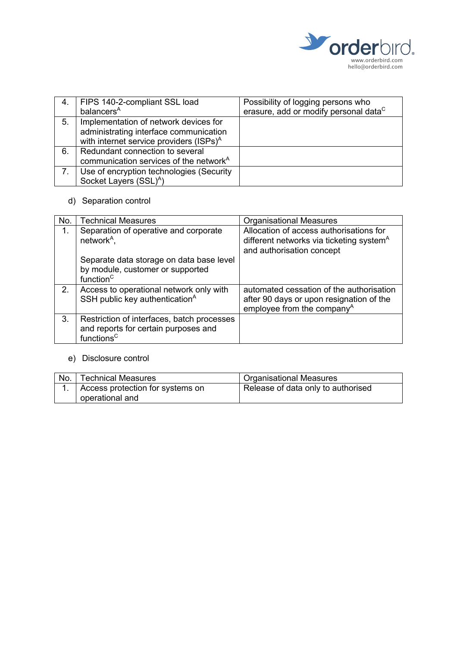

|    | FIPS 140-2-compliant SSL load                       | Possibility of logging persons who                |
|----|-----------------------------------------------------|---------------------------------------------------|
|    | balancers <sup>A</sup>                              | erasure, add or modify personal data <sup>C</sup> |
| 5. | Implementation of network devices for               |                                                   |
|    | administrating interface communication              |                                                   |
|    | with internet service providers (ISPs) <sup>A</sup> |                                                   |
| 6. | Redundant connection to several                     |                                                   |
|    | communication services of the network <sup>A</sup>  |                                                   |
|    | Use of encryption technologies (Security            |                                                   |
|    | Socket Layers (SSL) <sup>A</sup> )                  |                                                   |

# d) Separation control

| No. | <b>Technical Measures</b>                                                                                    | <b>Organisational Measures</b>                                                                                                 |
|-----|--------------------------------------------------------------------------------------------------------------|--------------------------------------------------------------------------------------------------------------------------------|
| 1.  | Separation of operative and corporate<br>network $A$ ,                                                       | Allocation of access authorisations for<br>different networks via ticketing system <sup>A</sup><br>and authorisation concept   |
|     | Separate data storage on data base level<br>by module, customer or supported<br>function <sup>C</sup>        |                                                                                                                                |
| 2.  | Access to operational network only with<br>SSH public key authentication <sup>A</sup>                        | automated cessation of the authorisation<br>after 90 days or upon resignation of the<br>employee from the company <sup>A</sup> |
| 3.  | Restriction of interfaces, batch processes<br>and reports for certain purposes and<br>functions <sup>C</sup> |                                                                                                                                |

## e) Disclosure control

| No. | <b>Technical Measures</b>        | Organisational Measures            |
|-----|----------------------------------|------------------------------------|
|     | Access protection for systems on | Release of data only to authorised |
|     | operational and                  |                                    |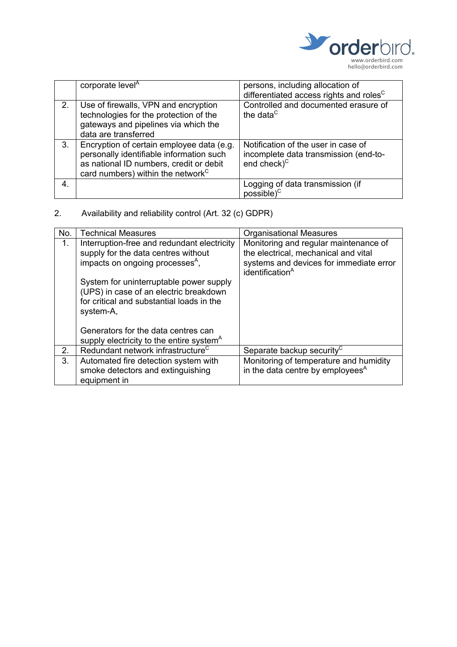

|    | corporate level <sup>A</sup>                                                                                                                                                      | persons, including allocation of<br>differentiated access rights and roles <sup>C</sup>         |
|----|-----------------------------------------------------------------------------------------------------------------------------------------------------------------------------------|-------------------------------------------------------------------------------------------------|
| 2. | Use of firewalls, VPN and encryption<br>technologies for the protection of the<br>gateways and pipelines via which the<br>data are transferred                                    | Controlled and documented erasure of<br>the data <sup>C</sup>                                   |
| 3. | Encryption of certain employee data (e.g.<br>personally identifiable information such<br>as national ID numbers, credit or debit<br>card numbers) within the network <sup>C</sup> | Notification of the user in case of<br>incomplete data transmission (end-to-<br>end check $)^C$ |
| 4. |                                                                                                                                                                                   | Logging of data transmission (if<br>$possible$ <sup>C</sup>                                     |

## 2. Availability and reliability control (Art. 32 (c) GDPR)

| No. | <b>Technical Measures</b>                                                                                                                   | <b>Organisational Measures</b>                                                                                                                          |
|-----|---------------------------------------------------------------------------------------------------------------------------------------------|---------------------------------------------------------------------------------------------------------------------------------------------------------|
| 1.  | Interruption-free and redundant electricity<br>supply for the data centres without<br>impacts on ongoing processes <sup>A</sup> ,           | Monitoring and regular maintenance of<br>the electrical, mechanical and vital<br>systems and devices for immediate error<br>identification <sup>A</sup> |
|     | System for uninterruptable power supply<br>(UPS) in case of an electric breakdown<br>for critical and substantial loads in the<br>system-A, |                                                                                                                                                         |
|     | Generators for the data centres can<br>supply electricity to the entire system <sup>A</sup>                                                 |                                                                                                                                                         |
| 2.  | Redundant network infrastructure <sup>C</sup>                                                                                               | Separate backup security <sup>C</sup>                                                                                                                   |
| 3.  | Automated fire detection system with<br>smoke detectors and extinguishing<br>equipment in                                                   | Monitoring of temperature and humidity<br>in the data centre by employees <sup>A</sup>                                                                  |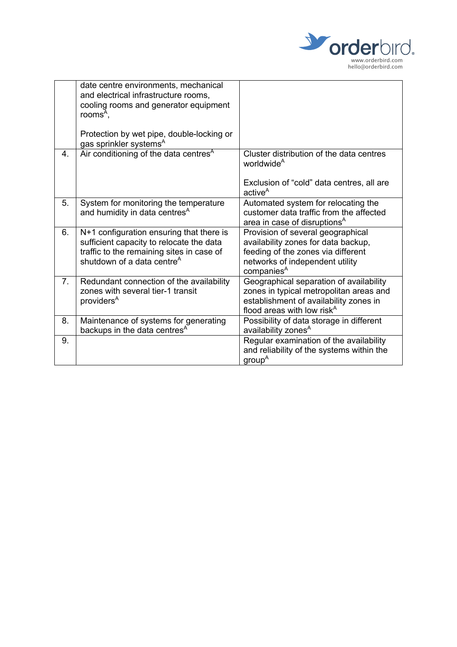

|    | date centre environments, mechanical<br>and electrical infrastructure rooms,<br>cooling rooms and generator equipment<br>rooms $A$ ,                                        |                                                                                                                                                                             |
|----|-----------------------------------------------------------------------------------------------------------------------------------------------------------------------------|-----------------------------------------------------------------------------------------------------------------------------------------------------------------------------|
|    | Protection by wet pipe, double-locking or<br>gas sprinkler systems <sup>A</sup>                                                                                             |                                                                                                                                                                             |
| 4. | Air conditioning of the data centres <sup>A</sup>                                                                                                                           | Cluster distribution of the data centres<br>worldwide <sup>A</sup><br>Exclusion of "cold" data centres, all are                                                             |
|    |                                                                                                                                                                             | active <sup>A</sup>                                                                                                                                                         |
| 5. | System for monitoring the temperature<br>and humidity in data centres <sup>A</sup>                                                                                          | Automated system for relocating the<br>customer data traffic from the affected<br>area in case of disruptions <sup>A</sup>                                                  |
| 6. | N+1 configuration ensuring that there is<br>sufficient capacity to relocate the data<br>traffic to the remaining sites in case of<br>shutdown of a data centre <sup>A</sup> | Provision of several geographical<br>availability zones for data backup,<br>feeding of the zones via different<br>networks of independent utility<br>companies <sup>A</sup> |
| 7. | Redundant connection of the availability<br>zones with several tier-1 transit<br>providers <sup>A</sup>                                                                     | Geographical separation of availability<br>zones in typical metropolitan areas and<br>establishment of availability zones in<br>flood areas with low risk <sup>A</sup>      |
| 8. | Maintenance of systems for generating<br>backups in the data centres <sup>A</sup>                                                                                           | Possibility of data storage in different<br>availability zones <sup>A</sup>                                                                                                 |
| 9. |                                                                                                                                                                             | Regular examination of the availability<br>and reliability of the systems within the<br>group <sup>A</sup>                                                                  |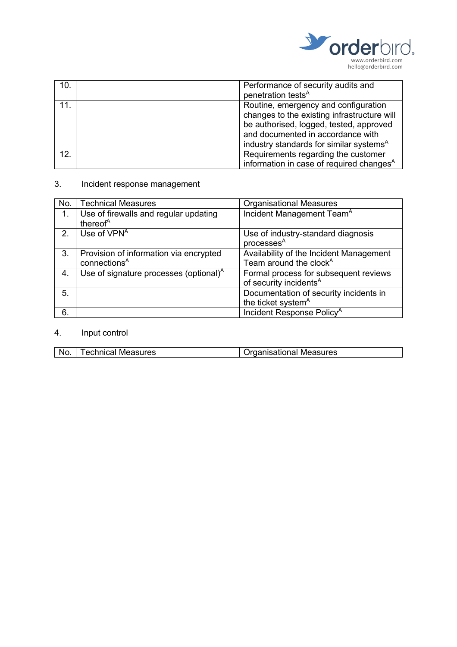

| 10.             | Performance of security audits and                   |
|-----------------|------------------------------------------------------|
|                 | penetration tests <sup>A</sup>                       |
| 11.             | Routine, emergency and configuration                 |
|                 | changes to the existing infrastructure will          |
|                 | be authorised, logged, tested, approved              |
|                 | and documented in accordance with                    |
|                 | industry standards for similar systems <sup>A</sup>  |
| 12 <sup>°</sup> | Requirements regarding the customer                  |
|                 | information in case of required changes <sup>A</sup> |

## 3. Incident response management

| No.           | <b>Technical Measures</b>                                          | <b>Organisational Measures</b>                                                |
|---------------|--------------------------------------------------------------------|-------------------------------------------------------------------------------|
| 1.            | Use of firewalls and regular updating<br>thereof <sup>A</sup>      | Incident Management Team <sup>A</sup>                                         |
| $\mathcal{P}$ | Use of VPN <sup>A</sup>                                            | Use of industry-standard diagnosis<br>processes <sup>A</sup>                  |
| 3.            | Provision of information via encrypted<br>connections <sup>A</sup> | Availability of the Incident Management<br>Team around the clock <sup>A</sup> |
| 4.            | Use of signature processes (optional) <sup>A</sup>                 | Formal process for subsequent reviews<br>of security incidents <sup>A</sup>   |
| 5.            |                                                                    | Documentation of security incidents in<br>the ticket system <sup>A</sup>      |
| 6.            |                                                                    | Incident Response Policy <sup>A</sup>                                         |

## 4. Input control

| No. | <b>Technical Measures</b> | Organisational Measures |
|-----|---------------------------|-------------------------|
|-----|---------------------------|-------------------------|